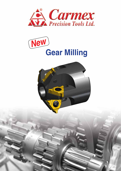



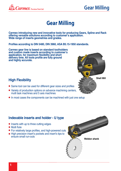

## **Gear Milling**

**Carmex introducing new and innovative tools for producing Gears, Spline and Rack offering versatile solutions according to customer's application. Wide range of inserts geometries and grades.**

**Profiles according to DIN 5480, DIN 3960, ASA B5.15-1950 standards.**

**Carmex gear line is based on standard toolholders and custom made inserts according to customer's application, for maximum flexibility and short delivery time. All tools profile are fully ground and highly accurate.**

#### **High Flexibility**

- Same tool can be used for different gear sizes and profiles
- Variety of production options on advance machining centers, multi task machines and 5 axis machines
- In most cases the components can be machined with just one setup



## **Weldon shank** • Inserts with up to three cutting edges • Multi flute For relatively large profiles, and high-powered cuts • High precision insert's pockets and insert's tips to ensure small run-outs **Indexable inserts and holder - U type**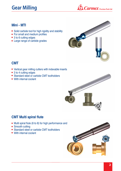# **Gear Milling**



#### **Mini - MTI**

- Solid carbide tool for high rigidity and stability
- For small and medium profiles
- 3 to 6 cutting edges
- Large range of carbide grades



#### **CMT**

- Vertical gear milling cutters with indexable inserts
- 3 to 4 cutting edges
- Standard steel or carbide CMT toolholders
- With internal coolant



#### **CMT Multi spiral flute**

- Multi spiral flute (6 to 8) for high performance and
- Smooth cutting
- Standard steel or carbide CMT toolholders
- With internal coolant